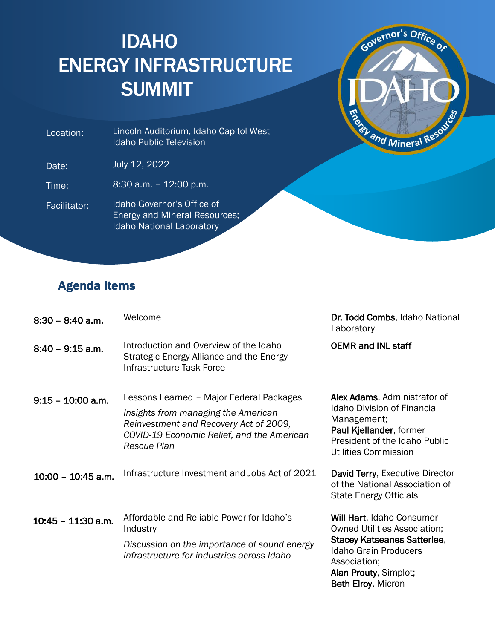## IDAHO ENERGY INFRASTRUCTURE SUMMIT



 Location: Lincoln Auditorium, Idaho Capitol West Idaho Public Television

Date: July 12, 2022

Time: 8:30 a.m. – 12:00 p.m.

Facilitator: Idaho Governor's Office of Energy and Mineral Resources; Idaho National Laboratory

## Agenda Items

| $8:30 - 8:40$ a.m.   | Welcome                                                                                                                                                                                | Dr. Todd Combs, Idaho National<br>Laboratory                                                                                                                                                                  |
|----------------------|----------------------------------------------------------------------------------------------------------------------------------------------------------------------------------------|---------------------------------------------------------------------------------------------------------------------------------------------------------------------------------------------------------------|
| $8:40 - 9:15$ a.m.   | Introduction and Overview of the Idaho<br>Strategic Energy Alliance and the Energy<br>Infrastructure Task Force                                                                        | <b>OEMR and INL staff</b>                                                                                                                                                                                     |
| $9:15 - 10:00$ a.m.  | Lessons Learned - Major Federal Packages<br>Insights from managing the American<br>Reinvestment and Recovery Act of 2009,<br>COVID-19 Economic Relief, and the American<br>Rescue Plan | Alex Adams, Administrator of<br><b>Idaho Division of Financial</b><br>Management;<br>Paul Kjellander, former<br>President of the Idaho Public<br>Utilities Commission                                         |
| $10:00 - 10:45$ a.m. | Infrastructure Investment and Jobs Act of 2021                                                                                                                                         | David Terry, Executive Director<br>of the National Association of<br><b>State Energy Officials</b>                                                                                                            |
| $10:45 - 11:30$ a.m. | Affordable and Reliable Power for Idaho's<br>Industry<br>Discussion on the importance of sound energy<br>infrastructure for industries across Idaho                                    | Will Hart, Idaho Consumer-<br><b>Owned Utilities Association;</b><br><b>Stacey Katseanes Satterlee,</b><br><b>Idaho Grain Producers</b><br>Association;<br>Alan Prouty, Simplot;<br><b>Beth Elroy, Micron</b> |